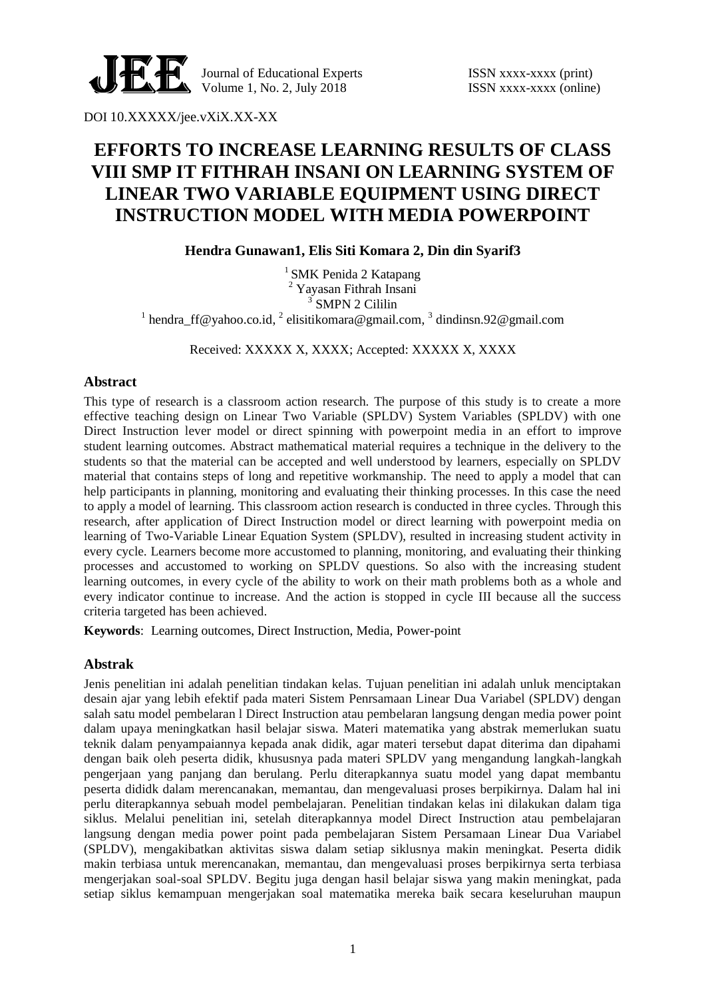

Journal of Educational Experts ISSN xxxx-xxxx (print) Volume 1, No. 2, July  $2018$  ISSN xxxx-xxxx (online)

DOI 10.XXXXX/jee.vXiX.XX-XX

# **EFFORTS TO INCREASE LEARNING RESULTS OF CLASS VIII SMP IT FITHRAH INSANI ON LEARNING SYSTEM OF LINEAR TWO VARIABLE EQUIPMENT USING DIRECT INSTRUCTION MODEL WITH MEDIA POWERPOINT**

**Hendra Gunawan1, Elis Siti Komara 2, Din din Syarif3**

 $<sup>1</sup>$  SMK Penida 2 Katapang</sup> <sup>2</sup> Yayasan Fithrah Insani <sup>3</sup> SMPN 2 Cililin <sup>1</sup> hendra\_ff@yahoo.co.id, <sup>2</sup> elisitikomara@gmail.com, <sup>3</sup> dindinsn.92@gmail.com

Received: XXXXX X, XXXX; Accepted: XXXXX X, XXXX

# **Abstract**

This type of research is a classroom action research. The purpose of this study is to create a more effective teaching design on Linear Two Variable (SPLDV) System Variables (SPLDV) with one Direct Instruction lever model or direct spinning with powerpoint media in an effort to improve student learning outcomes. Abstract mathematical material requires a technique in the delivery to the students so that the material can be accepted and well understood by learners, especially on SPLDV material that contains steps of long and repetitive workmanship. The need to apply a model that can help participants in planning, monitoring and evaluating their thinking processes. In this case the need to apply a model of learning. This classroom action research is conducted in three cycles. Through this research, after application of Direct Instruction model or direct learning with powerpoint media on learning of Two-Variable Linear Equation System (SPLDV), resulted in increasing student activity in every cycle. Learners become more accustomed to planning, monitoring, and evaluating their thinking processes and accustomed to working on SPLDV questions. So also with the increasing student learning outcomes, in every cycle of the ability to work on their math problems both as a whole and every indicator continue to increase. And the action is stopped in cycle III because all the success criteria targeted has been achieved.

**Keywords**: Learning outcomes, Direct Instruction, Media, Power-point

# **Abstrak**

Jenis penelitian ini adalah penelitian tindakan kelas. Tujuan penelitian ini adalah unluk menciptakan desain ajar yang lebih efektif pada materi Sistem Penrsamaan Linear Dua Variabel (SPLDV) dengan salah satu model pembelaran l Direct Instruction atau pembelaran langsung dengan media power point dalam upaya meningkatkan hasil belajar siswa. Materi matematika yang abstrak memerlukan suatu teknik dalam penyampaiannya kepada anak didik, agar materi tersebut dapat diterima dan dipahami dengan baik oleh peserta didik, khususnya pada materi SPLDV yang mengandung langkah-langkah pengerjaan yang panjang dan berulang. Perlu diterapkannya suatu model yang dapat membantu peserta dididk dalam merencanakan, memantau, dan mengevaluasi proses berpikirnya. Dalam hal ini perlu diterapkannya sebuah model pembelajaran. Penelitian tindakan kelas ini dilakukan dalam tiga siklus. Melalui penelitian ini, setelah diterapkannya model Direct Instruction atau pembelajaran langsung dengan media power point pada pembelajaran Sistem Persamaan Linear Dua Variabel (SPLDV), mengakibatkan aktivitas siswa dalam setiap siklusnya makin meningkat. Peserta didik makin terbiasa untuk merencanakan, memantau, dan mengevaluasi proses berpikirnya serta terbiasa mengerjakan soal-soal SPLDV. Begitu juga dengan hasil belajar siswa yang makin meningkat, pada setiap siklus kemampuan mengerjakan soal matematika mereka baik secara keseluruhan maupun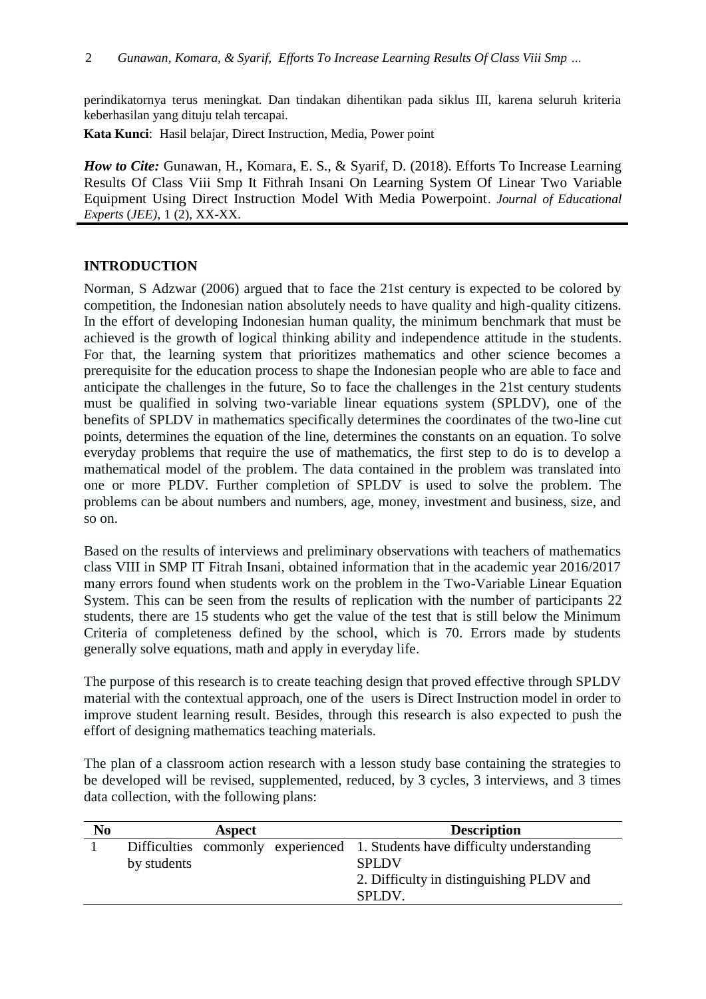perindikatornya terus meningkat. Dan tindakan dihentikan pada siklus III, karena seluruh kriteria keberhasilan yang dituju telah tercapai.

**Kata Kunci**: Hasil belajar, Direct Instruction, Media, Power point

*How to Cite: Gunawan, H., Komara, E. S., & Syarif, D. (2018). Efforts To Increase Learning* Results Of Class Viii Smp It Fithrah Insani On Learning System Of Linear Two Variable Equipment Using Direct Instruction Model With Media Powerpoint. *Journal of Educational Experts* (*JEE)*, 1 (2), XX-XX.

# **INTRODUCTION**

Norman, S Adzwar (2006) argued that to face the 21st century is expected to be colored by competition, the Indonesian nation absolutely needs to have quality and high-quality citizens. In the effort of developing Indonesian human quality, the minimum benchmark that must be achieved is the growth of logical thinking ability and independence attitude in the students. For that, the learning system that prioritizes mathematics and other science becomes a prerequisite for the education process to shape the Indonesian people who are able to face and anticipate the challenges in the future, So to face the challenges in the 21st century students must be qualified in solving two-variable linear equations system (SPLDV), one of the benefits of SPLDV in mathematics specifically determines the coordinates of the two-line cut points, determines the equation of the line, determines the constants on an equation. To solve everyday problems that require the use of mathematics, the first step to do is to develop a mathematical model of the problem. The data contained in the problem was translated into one or more PLDV. Further completion of SPLDV is used to solve the problem. The problems can be about numbers and numbers, age, money, investment and business, size, and so on.

Based on the results of interviews and preliminary observations with teachers of mathematics class VIII in SMP IT Fitrah Insani, obtained information that in the academic year 2016/2017 many errors found when students work on the problem in the Two-Variable Linear Equation System. This can be seen from the results of replication with the number of participants 22 students, there are 15 students who get the value of the test that is still below the Minimum Criteria of completeness defined by the school, which is 70. Errors made by students generally solve equations, math and apply in everyday life.

The purpose of this research is to create teaching design that proved effective through SPLDV material with the contextual approach, one of the users is Direct Instruction model in order to improve student learning result. Besides, through this research is also expected to push the effort of designing mathematics teaching materials.

The plan of a classroom action research with a lesson study base containing the strategies to be developed will be revised, supplemented, reduced, by 3 cycles, 3 interviews, and 3 times data collection, with the following plans:

| N <sub>0</sub> |             | Aspect | <b>Description</b>                                                                                                                                      |
|----------------|-------------|--------|---------------------------------------------------------------------------------------------------------------------------------------------------------|
|                | by students |        | Difficulties commonly experienced 1. Students have difficulty understanding<br><b>SPLDV</b><br>2. Difficulty in distinguishing PLDV and<br><b>SPLDV</b> |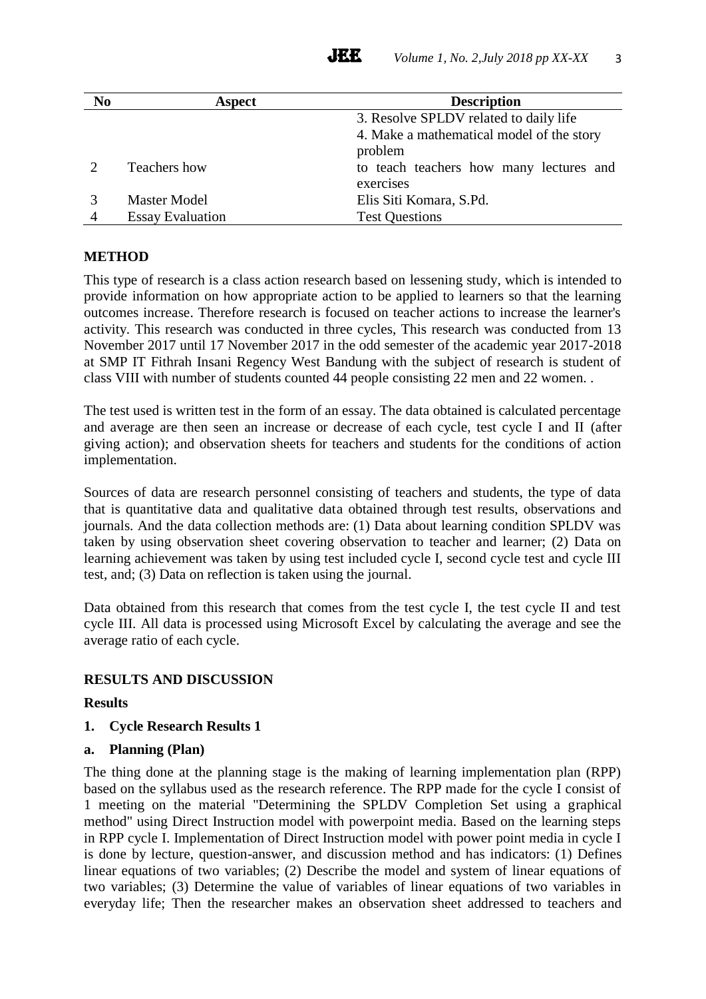| N <sub>0</sub> | Aspect                  | <b>Description</b>                        |
|----------------|-------------------------|-------------------------------------------|
|                |                         | 3. Resolve SPLDV related to daily life    |
|                |                         | 4. Make a mathematical model of the story |
|                |                         | problem                                   |
|                | Teachers how            | to teach teachers how many lectures and   |
|                |                         | exercises                                 |
|                | <b>Master Model</b>     | Elis Siti Komara, S.Pd.                   |
| 4              | <b>Essay Evaluation</b> | <b>Test Questions</b>                     |

# **METHOD**

This type of research is a class action research based on lessening study, which is intended to provide information on how appropriate action to be applied to learners so that the learning outcomes increase. Therefore research is focused on teacher actions to increase the learner's activity. This research was conducted in three cycles, This research was conducted from 13 November 2017 until 17 November 2017 in the odd semester of the academic year 2017-2018 at SMP IT Fithrah Insani Regency West Bandung with the subject of research is student of class VIII with number of students counted 44 people consisting 22 men and 22 women. .

The test used is written test in the form of an essay. The data obtained is calculated percentage and average are then seen an increase or decrease of each cycle, test cycle I and II (after giving action); and observation sheets for teachers and students for the conditions of action implementation.

Sources of data are research personnel consisting of teachers and students, the type of data that is quantitative data and qualitative data obtained through test results, observations and journals. And the data collection methods are: (1) Data about learning condition SPLDV was taken by using observation sheet covering observation to teacher and learner; (2) Data on learning achievement was taken by using test included cycle I, second cycle test and cycle III test, and; (3) Data on reflection is taken using the journal.

Data obtained from this research that comes from the test cycle I, the test cycle II and test cycle III. All data is processed using Microsoft Excel by calculating the average and see the average ratio of each cycle.

# **RESULTS AND DISCUSSION**

# **Results**

**1. Cycle Research Results 1**

# **a. Planning (Plan)**

The thing done at the planning stage is the making of learning implementation plan (RPP) based on the syllabus used as the research reference. The RPP made for the cycle I consist of 1 meeting on the material "Determining the SPLDV Completion Set using a graphical method" using Direct Instruction model with powerpoint media. Based on the learning steps in RPP cycle I. Implementation of Direct Instruction model with power point media in cycle I is done by lecture, question-answer, and discussion method and has indicators: (1) Defines linear equations of two variables; (2) Describe the model and system of linear equations of two variables; (3) Determine the value of variables of linear equations of two variables in everyday life; Then the researcher makes an observation sheet addressed to teachers and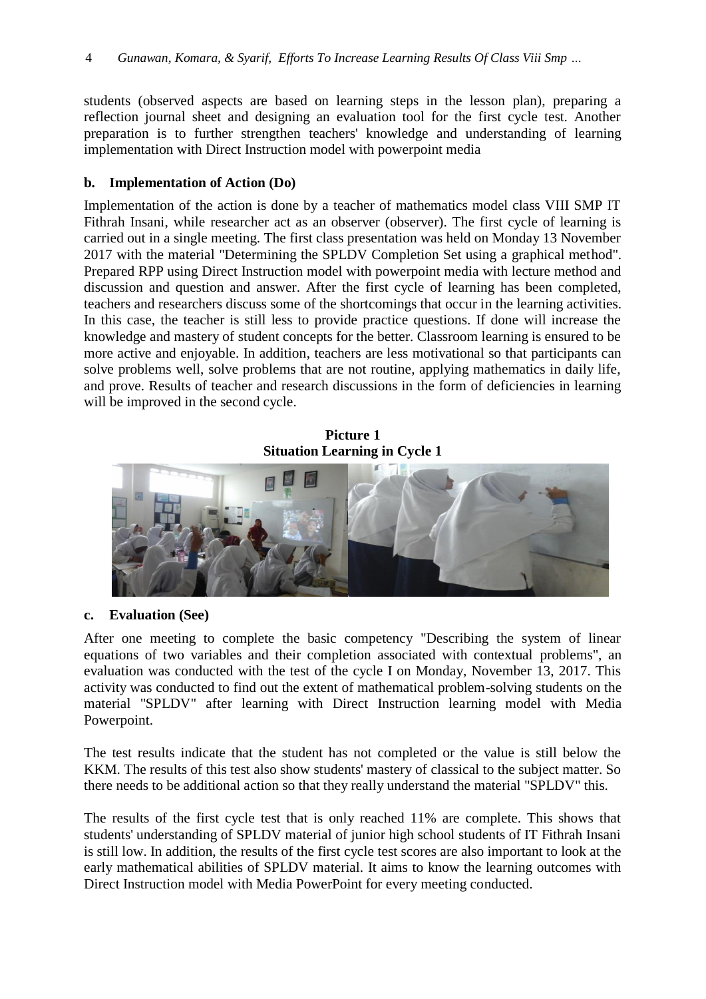students (observed aspects are based on learning steps in the lesson plan), preparing a reflection journal sheet and designing an evaluation tool for the first cycle test. Another preparation is to further strengthen teachers' knowledge and understanding of learning implementation with Direct Instruction model with powerpoint media

### **b. Implementation of Action (Do)**

Implementation of the action is done by a teacher of mathematics model class VIII SMP IT Fithrah Insani, while researcher act as an observer (observer). The first cycle of learning is carried out in a single meeting. The first class presentation was held on Monday 13 November 2017 with the material "Determining the SPLDV Completion Set using a graphical method". Prepared RPP using Direct Instruction model with powerpoint media with lecture method and discussion and question and answer. After the first cycle of learning has been completed, teachers and researchers discuss some of the shortcomings that occur in the learning activities. In this case, the teacher is still less to provide practice questions. If done will increase the knowledge and mastery of student concepts for the better. Classroom learning is ensured to be more active and enjoyable. In addition, teachers are less motivational so that participants can solve problems well, solve problems that are not routine, applying mathematics in daily life, and prove. Results of teacher and research discussions in the form of deficiencies in learning will be improved in the second cycle.

**Picture 1 Situation Learning in Cycle 1**



# **c. Evaluation (See)**

After one meeting to complete the basic competency "Describing the system of linear equations of two variables and their completion associated with contextual problems", an evaluation was conducted with the test of the cycle I on Monday, November 13, 2017. This activity was conducted to find out the extent of mathematical problem-solving students on the material "SPLDV" after learning with Direct Instruction learning model with Media Powerpoint.

The test results indicate that the student has not completed or the value is still below the KKM. The results of this test also show students' mastery of classical to the subject matter. So there needs to be additional action so that they really understand the material "SPLDV" this.

The results of the first cycle test that is only reached 11% are complete. This shows that students' understanding of SPLDV material of junior high school students of IT Fithrah Insani is still low. In addition, the results of the first cycle test scores are also important to look at the early mathematical abilities of SPLDV material. It aims to know the learning outcomes with Direct Instruction model with Media PowerPoint for every meeting conducted.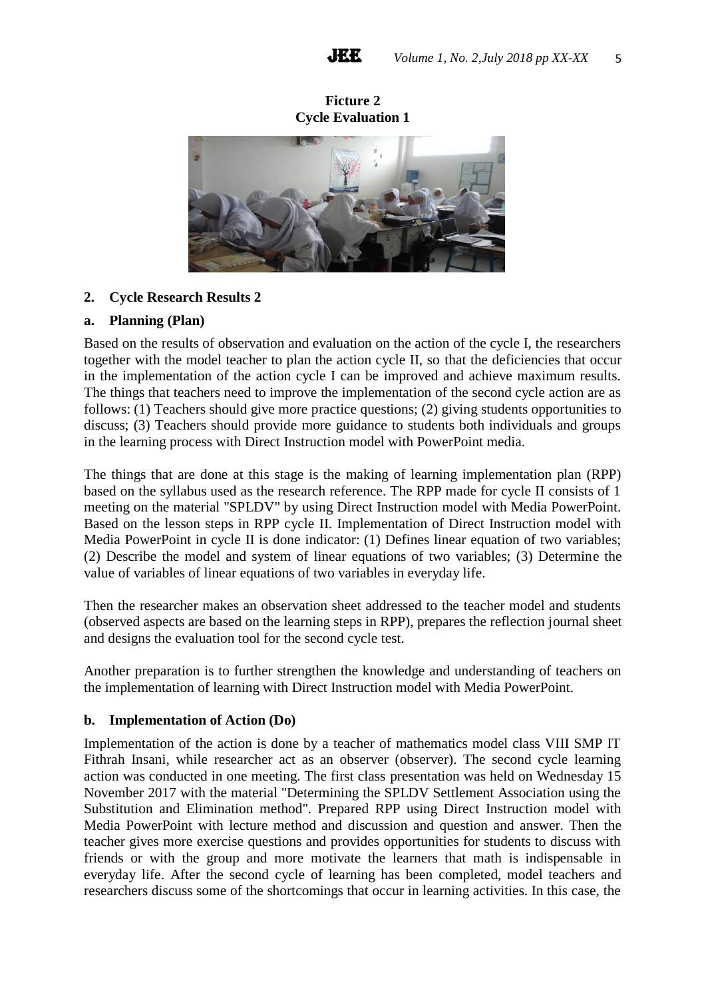**Ficture 2 Cycle Evaluation 1**



# **2. Cycle Research Results 2**

#### **a. Planning (Plan)**

Based on the results of observation and evaluation on the action of the cycle I, the researchers together with the model teacher to plan the action cycle II, so that the deficiencies that occur in the implementation of the action cycle I can be improved and achieve maximum results. The things that teachers need to improve the implementation of the second cycle action are as follows: (1) Teachers should give more practice questions; (2) giving students opportunities to discuss; (3) Teachers should provide more guidance to students both individuals and groups in the learning process with Direct Instruction model with PowerPoint media.

The things that are done at this stage is the making of learning implementation plan (RPP) based on the syllabus used as the research reference. The RPP made for cycle II consists of 1 meeting on the material "SPLDV" by using Direct Instruction model with Media PowerPoint. Based on the lesson steps in RPP cycle II. Implementation of Direct Instruction model with Media PowerPoint in cycle II is done indicator: (1) Defines linear equation of two variables; (2) Describe the model and system of linear equations of two variables; (3) Determine the value of variables of linear equations of two variables in everyday life.

Then the researcher makes an observation sheet addressed to the teacher model and students (observed aspects are based on the learning steps in RPP), prepares the reflection journal sheet and designs the evaluation tool for the second cycle test.

Another preparation is to further strengthen the knowledge and understanding of teachers on the implementation of learning with Direct Instruction model with Media PowerPoint.

#### **b. Implementation of Action (Do)**

Implementation of the action is done by a teacher of mathematics model class VIII SMP IT Fithrah Insani, while researcher act as an observer (observer). The second cycle learning action was conducted in one meeting. The first class presentation was held on Wednesday 15 November 2017 with the material "Determining the SPLDV Settlement Association using the Substitution and Elimination method". Prepared RPP using Direct Instruction model with Media PowerPoint with lecture method and discussion and question and answer. Then the teacher gives more exercise questions and provides opportunities for students to discuss with friends or with the group and more motivate the learners that math is indispensable in everyday life. After the second cycle of learning has been completed, model teachers and researchers discuss some of the shortcomings that occur in learning activities. In this case, the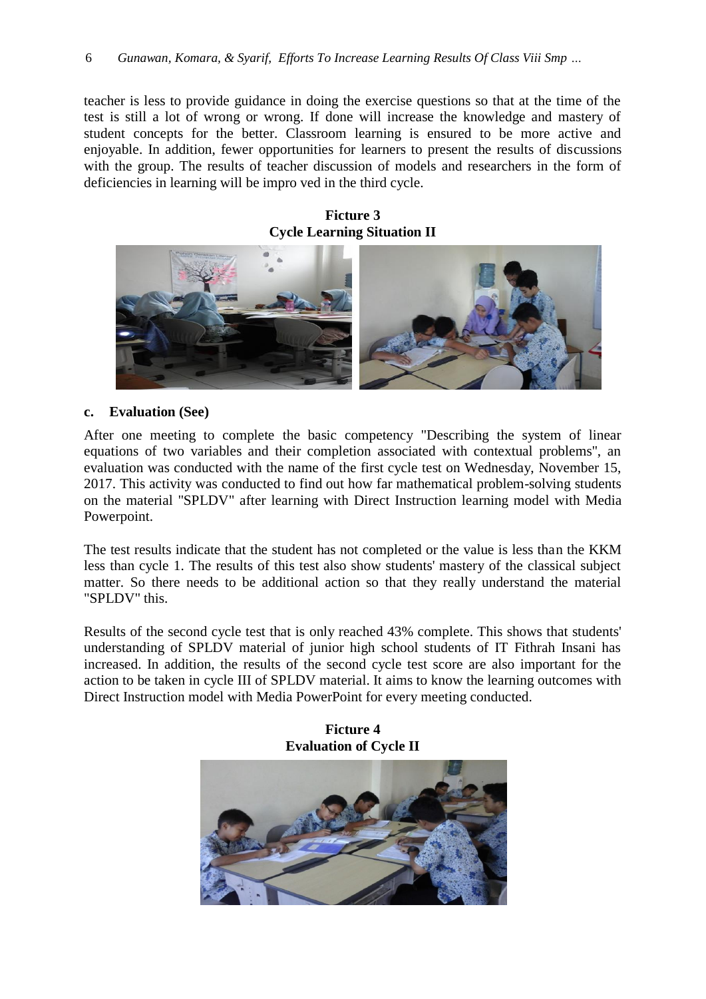teacher is less to provide guidance in doing the exercise questions so that at the time of the test is still a lot of wrong or wrong. If done will increase the knowledge and mastery of student concepts for the better. Classroom learning is ensured to be more active and enjoyable. In addition, fewer opportunities for learners to present the results of discussions with the group. The results of teacher discussion of models and researchers in the form of deficiencies in learning will be impro ved in the third cycle.

**Ficture 3 Cycle Learning Situation II**



#### **c. Evaluation (See)**

After one meeting to complete the basic competency "Describing the system of linear equations of two variables and their completion associated with contextual problems", an evaluation was conducted with the name of the first cycle test on Wednesday, November 15, 2017. This activity was conducted to find out how far mathematical problem-solving students on the material "SPLDV" after learning with Direct Instruction learning model with Media Powerpoint.

The test results indicate that the student has not completed or the value is less than the KKM less than cycle 1. The results of this test also show students' mastery of the classical subject matter. So there needs to be additional action so that they really understand the material "SPLDV" this.

Results of the second cycle test that is only reached 43% complete. This shows that students' understanding of SPLDV material of junior high school students of IT Fithrah Insani has increased. In addition, the results of the second cycle test score are also important for the action to be taken in cycle III of SPLDV material. It aims to know the learning outcomes with Direct Instruction model with Media PowerPoint for every meeting conducted.



**Ficture 4**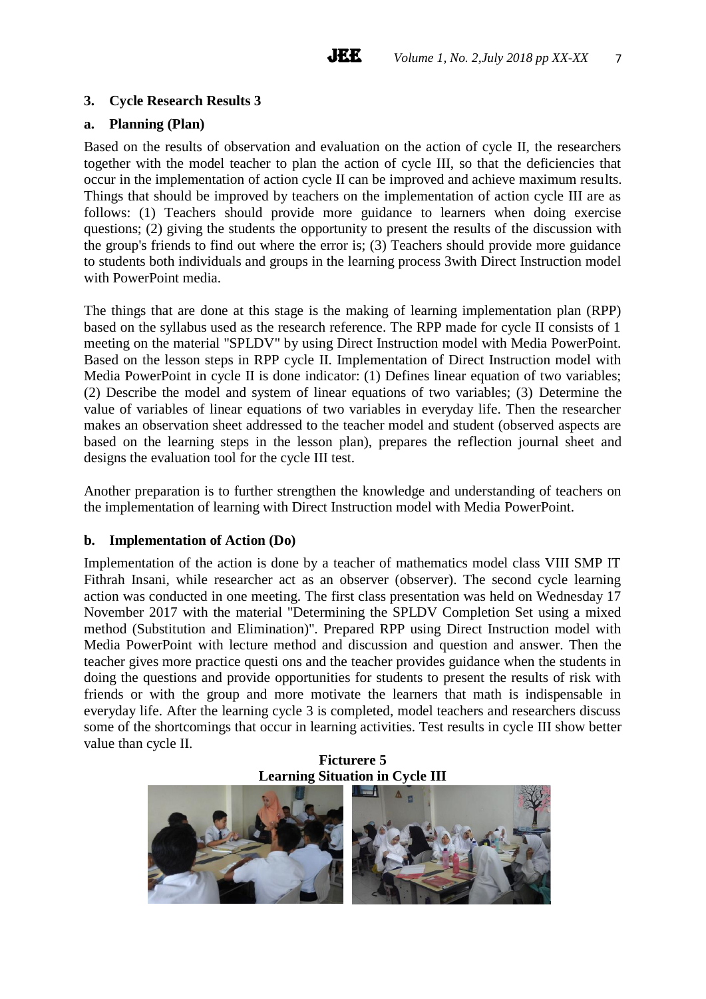# **3. Cycle Research Results 3**

# **a. Planning (Plan)**

Based on the results of observation and evaluation on the action of cycle II, the researchers together with the model teacher to plan the action of cycle III, so that the deficiencies that occur in the implementation of action cycle II can be improved and achieve maximum results. Things that should be improved by teachers on the implementation of action cycle III are as follows: (1) Teachers should provide more guidance to learners when doing exercise questions; (2) giving the students the opportunity to present the results of the discussion with the group's friends to find out where the error is; (3) Teachers should provide more guidance to students both individuals and groups in the learning process 3with Direct Instruction model with PowerPoint media.

The things that are done at this stage is the making of learning implementation plan (RPP) based on the syllabus used as the research reference. The RPP made for cycle II consists of 1 meeting on the material "SPLDV" by using Direct Instruction model with Media PowerPoint. Based on the lesson steps in RPP cycle II. Implementation of Direct Instruction model with Media PowerPoint in cycle II is done indicator: (1) Defines linear equation of two variables; (2) Describe the model and system of linear equations of two variables; (3) Determine the value of variables of linear equations of two variables in everyday life. Then the researcher makes an observation sheet addressed to the teacher model and student (observed aspects are based on the learning steps in the lesson plan), prepares the reflection journal sheet and designs the evaluation tool for the cycle III test.

Another preparation is to further strengthen the knowledge and understanding of teachers on the implementation of learning with Direct Instruction model with Media PowerPoint.

#### **b. Implementation of Action (Do)**

Implementation of the action is done by a teacher of mathematics model class VIII SMP IT Fithrah Insani, while researcher act as an observer (observer). The second cycle learning action was conducted in one meeting. The first class presentation was held on Wednesday 17 November 2017 with the material "Determining the SPLDV Completion Set using a mixed method (Substitution and Elimination)". Prepared RPP using Direct Instruction model with Media PowerPoint with lecture method and discussion and question and answer. Then the teacher gives more practice questi ons and the teacher provides guidance when the students in doing the questions and provide opportunities for students to present the results of risk with friends or with the group and more motivate the learners that math is indispensable in everyday life. After the learning cycle 3 is completed, model teachers and researchers discuss some of the shortcomings that occur in learning activities. Test results in cycle III show better value than cycle II.

**Ficturere 5 Learning Situation in Cycle III**

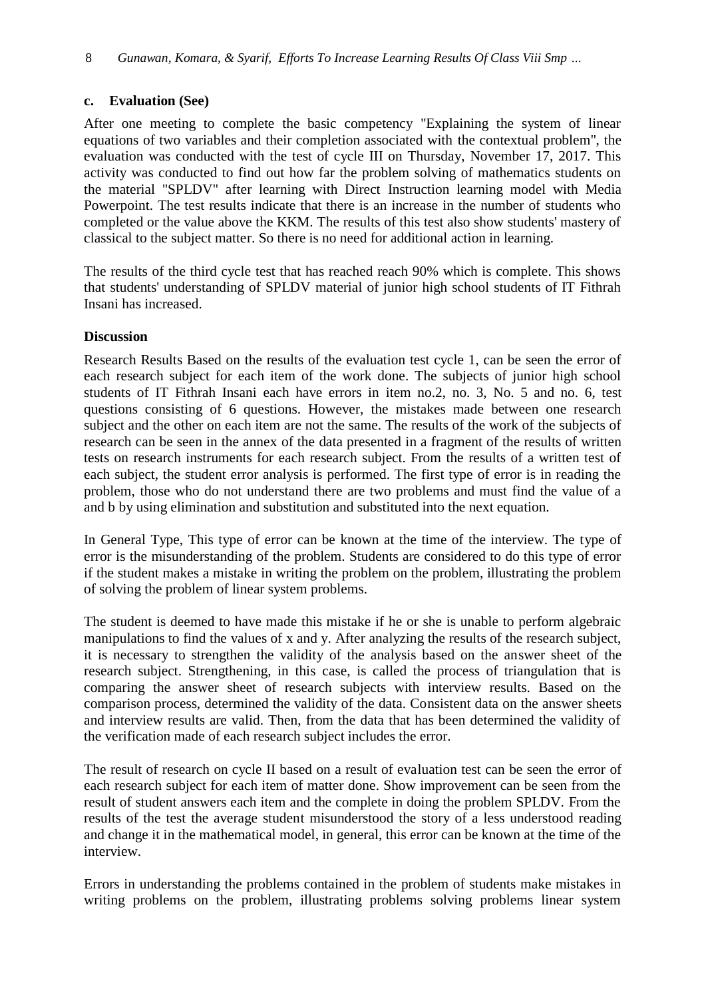# **c. Evaluation (See)**

After one meeting to complete the basic competency "Explaining the system of linear equations of two variables and their completion associated with the contextual problem", the evaluation was conducted with the test of cycle III on Thursday, November 17, 2017. This activity was conducted to find out how far the problem solving of mathematics students on the material "SPLDV" after learning with Direct Instruction learning model with Media Powerpoint. The test results indicate that there is an increase in the number of students who completed or the value above the KKM. The results of this test also show students' mastery of classical to the subject matter. So there is no need for additional action in learning.

The results of the third cycle test that has reached reach 90% which is complete. This shows that students' understanding of SPLDV material of junior high school students of IT Fithrah Insani has increased.

# **Discussion**

Research Results Based on the results of the evaluation test cycle 1, can be seen the error of each research subject for each item of the work done. The subjects of junior high school students of IT Fithrah Insani each have errors in item no.2, no. 3, No. 5 and no. 6, test questions consisting of 6 questions. However, the mistakes made between one research subject and the other on each item are not the same. The results of the work of the subjects of research can be seen in the annex of the data presented in a fragment of the results of written tests on research instruments for each research subject. From the results of a written test of each subject, the student error analysis is performed. The first type of error is in reading the problem, those who do not understand there are two problems and must find the value of a and b by using elimination and substitution and substituted into the next equation.

In General Type, This type of error can be known at the time of the interview. The type of error is the misunderstanding of the problem. Students are considered to do this type of error if the student makes a mistake in writing the problem on the problem, illustrating the problem of solving the problem of linear system problems.

The student is deemed to have made this mistake if he or she is unable to perform algebraic manipulations to find the values of x and y. After analyzing the results of the research subject, it is necessary to strengthen the validity of the analysis based on the answer sheet of the research subject. Strengthening, in this case, is called the process of triangulation that is comparing the answer sheet of research subjects with interview results. Based on the comparison process, determined the validity of the data. Consistent data on the answer sheets and interview results are valid. Then, from the data that has been determined the validity of the verification made of each research subject includes the error.

The result of research on cycle II based on a result of evaluation test can be seen the error of each research subject for each item of matter done. Show improvement can be seen from the result of student answers each item and the complete in doing the problem SPLDV. From the results of the test the average student misunderstood the story of a less understood reading and change it in the mathematical model, in general, this error can be known at the time of the interview.

Errors in understanding the problems contained in the problem of students make mistakes in writing problems on the problem, illustrating problems solving problems linear system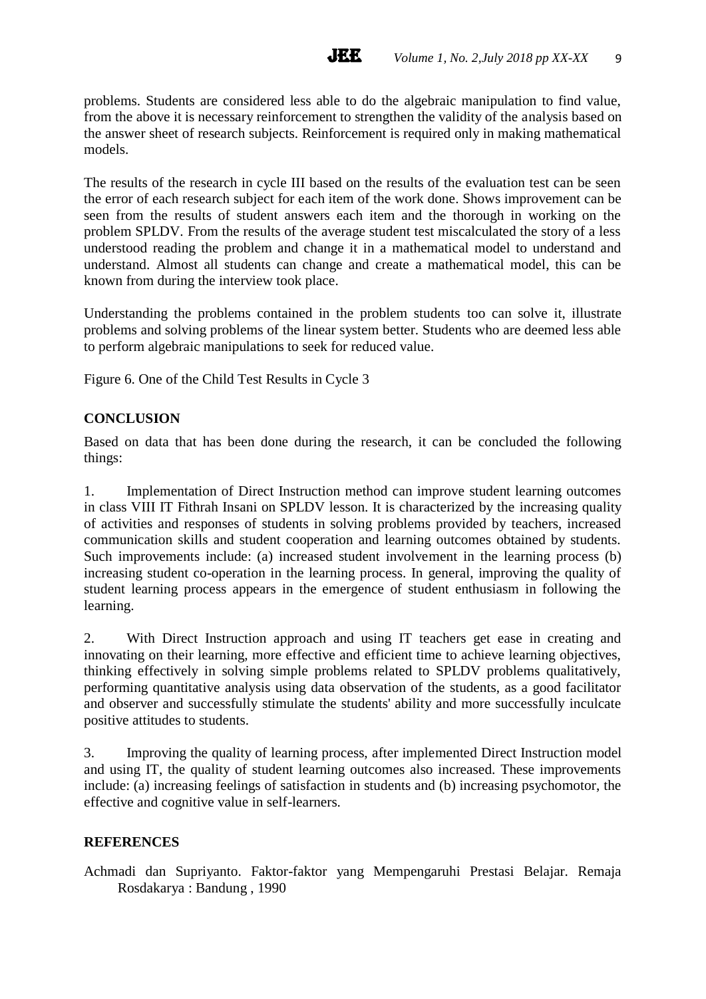problems. Students are considered less able to do the algebraic manipulation to find value, from the above it is necessary reinforcement to strengthen the validity of the analysis based on the answer sheet of research subjects. Reinforcement is required only in making mathematical models.

**JEE** 

The results of the research in cycle III based on the results of the evaluation test can be seen the error of each research subject for each item of the work done. Shows improvement can be seen from the results of student answers each item and the thorough in working on the problem SPLDV. From the results of the average student test miscalculated the story of a less understood reading the problem and change it in a mathematical model to understand and understand. Almost all students can change and create a mathematical model, this can be known from during the interview took place.

Understanding the problems contained in the problem students too can solve it, illustrate problems and solving problems of the linear system better. Students who are deemed less able to perform algebraic manipulations to seek for reduced value.

Figure 6. One of the Child Test Results in Cycle 3

# **CONCLUSION**

Based on data that has been done during the research, it can be concluded the following things:

1. Implementation of Direct Instruction method can improve student learning outcomes in class VIII IT Fithrah Insani on SPLDV lesson. It is characterized by the increasing quality of activities and responses of students in solving problems provided by teachers, increased communication skills and student cooperation and learning outcomes obtained by students. Such improvements include: (a) increased student involvement in the learning process (b) increasing student co-operation in the learning process. In general, improving the quality of student learning process appears in the emergence of student enthusiasm in following the learning.

2. With Direct Instruction approach and using IT teachers get ease in creating and innovating on their learning, more effective and efficient time to achieve learning objectives, thinking effectively in solving simple problems related to SPLDV problems qualitatively, performing quantitative analysis using data observation of the students, as a good facilitator and observer and successfully stimulate the students' ability and more successfully inculcate positive attitudes to students.

3. Improving the quality of learning process, after implemented Direct Instruction model and using IT, the quality of student learning outcomes also increased. These improvements include: (a) increasing feelings of satisfaction in students and (b) increasing psychomotor, the effective and cognitive value in self-learners.

# **REFERENCES**

Achmadi dan Supriyanto. Faktor-faktor yang Mempengaruhi Prestasi Belajar. Remaja Rosdakarya : Bandung , 1990